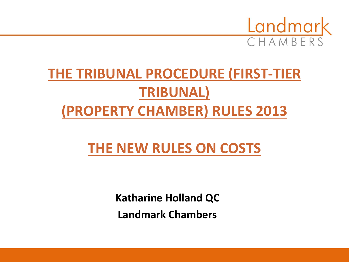

## **THE TRIBUNAL PROCEDURE (FIRST-TIER TRIBUNAL) (PROPERTY CHAMBER) RULES 2013**

## **THE NEW RULES ON COSTS**

**Katharine Holland QC Landmark Chambers**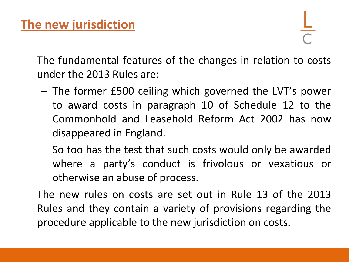The fundamental features of the changes in relation to costs under the 2013 Rules are:-

- The former £500 ceiling which governed the LVT's power to award costs in paragraph 10 of Schedule 12 to the Commonhold and Leasehold Reform Act 2002 has now disappeared in England.
- So too has the test that such costs would only be awarded where a party's conduct is frivolous or vexatious or otherwise an abuse of process.

The new rules on costs are set out in Rule 13 of the 2013 Rules and they contain a variety of provisions regarding the procedure applicable to the new jurisdiction on costs.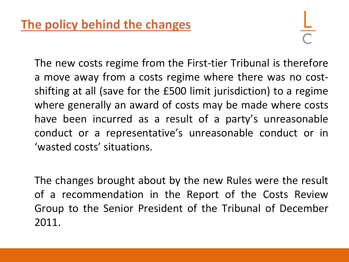The new costs regime from the First-tier Tribunal is therefore a move away from a costs regime where there was no costshifting at all (save for the £500 limit jurisdiction) to a regime where generally an award of costs may be made where costs have been incurred as a result of a party's unreasonable conduct or a representative's unreasonable conduct or in 'wasted costs' situations.

The changes brought about by the new Rules were the result of a recommendation in the Report of the Costs Review Group to the Senior President of the Tribunal of December 2011.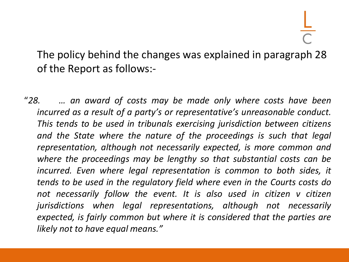The policy behind the changes was explained in paragraph 28 of the Report as follows:-

"*28. … an award of costs may be made only where costs have been incurred as a result of a party's or representative's unreasonable conduct. This tends to be used in tribunals exercising jurisdiction between citizens and the State where the nature of the proceedings is such that legal representation, although not necessarily expected, is more common and where the proceedings may be lengthy so that substantial costs can be incurred. Even where legal representation is common to both sides, it tends to be used in the regulatory field where even in the Courts costs do not necessarily follow the event. It is also used in citizen v citizen jurisdictions when legal representations, although not necessarily expected, is fairly common but where it is considered that the parties are likely not to have equal means."*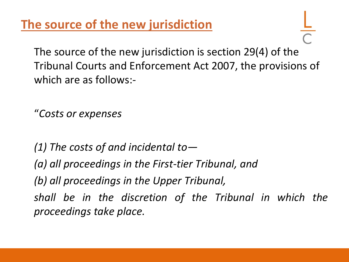**The source of the new jurisdiction**

The source of the new jurisdiction is section 29(4) of the Tribunal Courts and Enforcement Act 2007, the provisions of which are as follows:-

"*Costs or expenses* 

*(1) The costs of and incidental to— (a) all proceedings in the First-tier Tribunal, and (b) all proceedings in the Upper Tribunal, shall be in the discretion of the Tribunal in which the proceedings take place.*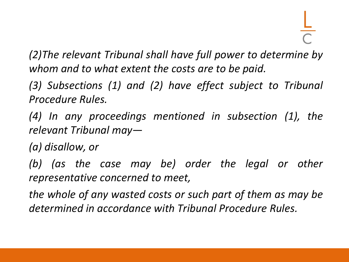*(2)The relevant Tribunal shall have full power to determine by whom and to what extent the costs are to be paid.*

*(3) Subsections (1) and (2) have effect subject to Tribunal Procedure Rules.*

*(4) In any proceedings mentioned in subsection (1), the relevant Tribunal may—*

*(a) disallow, or*

*(b) (as the case may be) order the legal or other representative concerned to meet,*

*the whole of any wasted costs or such part of them as may be determined in accordance with Tribunal Procedure Rules.*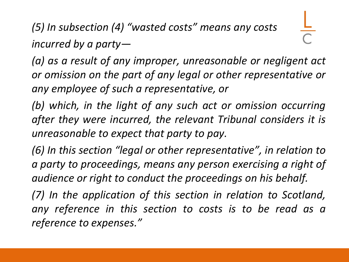*(5) In subsection (4) "wasted costs" means any costs incurred by a party—*

*(a) as a result of any improper, unreasonable or negligent act or omission on the part of any legal or other representative or any employee of such a representative, or*

*(b) which, in the light of any such act or omission occurring after they were incurred, the relevant Tribunal considers it is unreasonable to expect that party to pay.*

*(6) In this section "legal or other representative", in relation to a party to proceedings, means any person exercising a right of audience or right to conduct the proceedings on his behalf.*

*(7) In the application of this section in relation to Scotland, any reference in this section to costs is to be read as a reference to expenses."*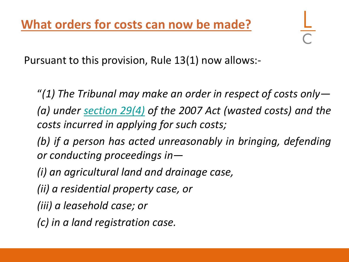Pursuant to this provision, Rule 13(1) now allows:-

"*(1) The Tribunal may make an order in respect of costs only— (a) under [section](http://login.westlaw.co.uk/maf/wluk/app/document?src=doc&linktype=ref&context=67&crumb-action=replace&docguid=IDA6521D1433911DCB016F6FD952C4D97) [29\(4\)](http://login.westlaw.co.uk/maf/wluk/app/document?src=doc&linktype=ref&context=67&crumb-action=replace&docguid=IDA6521D1433911DCB016F6FD952C4D97) of the 2007 Act (wasted costs) and the costs incurred in applying for such costs;*

*(b) if a person has acted unreasonably in bringing, defending or conducting proceedings in—*

*(i) an agricultural land and drainage case,*

*(ii) a residential property case, or*

*(iii) a leasehold case; or*

*(c) in a land registration case.*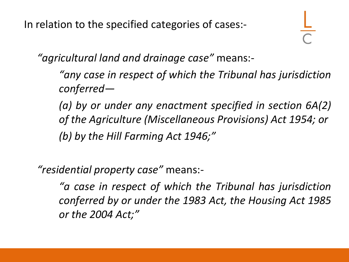In relation to the specified categories of cases:-

*"agricultural land and drainage case"* means:-

*"any case in respect of which the Tribunal has jurisdiction conferred—*

*(a) by or under any enactment specified in section 6A(2) of the Agriculture (Miscellaneous Provisions) Act 1954; or (b) by the Hill Farming Act 1946;"*

*"residential property case"* means:-

*"a case in respect of which the Tribunal has jurisdiction conferred by or under the 1983 Act, the Housing Act 1985 or the 2004 Act;"*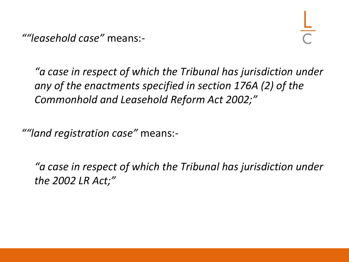*""leasehold case"* means:-

*"a case in respect of which the Tribunal has jurisdiction under any of the enactments specified in section 176A (2) of the Commonhold and Leasehold Reform Act 2002;"*

*""land registration case"* means:-

*"a case in respect of which the Tribunal has jurisdiction under the 2002 LR Act;"*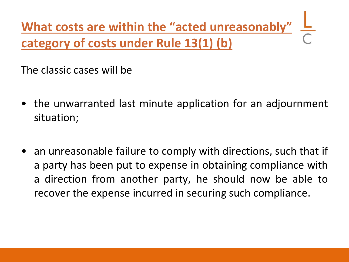**What costs are within the "acted unreasonably" category of costs under Rule 13(1) (b)**

The classic cases will be

- the unwarranted last minute application for an adjournment situation;
- an unreasonable failure to comply with directions, such that if a party has been put to expense in obtaining compliance with a direction from another party, he should now be able to recover the expense incurred in securing such compliance.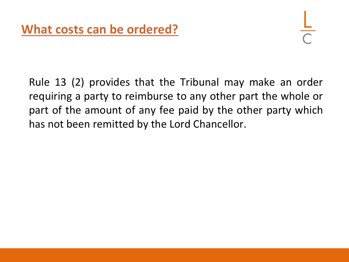Rule 13 (2) provides that the Tribunal may make an order requiring a party to reimburse to any other part the whole or part of the amount of any fee paid by the other party which has not been remitted by the Lord Chancellor.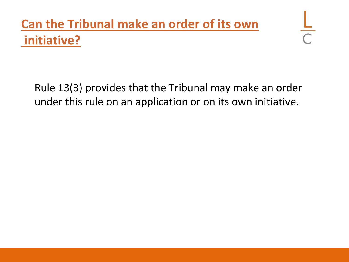## **Can the Tribunal make an order of its own initiative?**

Rule 13(3) provides that the Tribunal may make an order under this rule on an application or on its own initiative.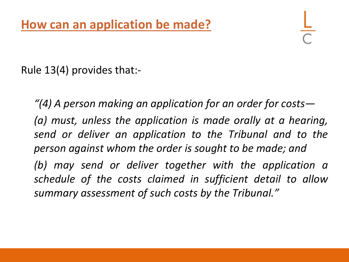Rule 13(4) provides that:-

*"(4) A person making an application for an order for costs— (a) must, unless the application is made orally at a hearing, send or deliver an application to the Tribunal and to the person against whom the order is sought to be made; and (b) may send or deliver together with the application a schedule of the costs claimed in sufficient detail to allow summary assessment of such costs by the Tribunal."*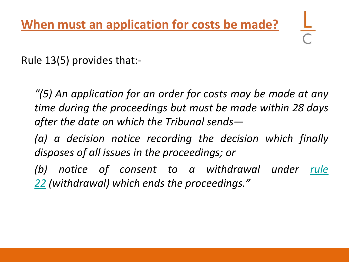Rule 13(5) provides that:-

*"(5) An application for an order for costs may be made at any time during the proceedings but must be made within 28 days after the date on which the Tribunal sends—*

*(a) a decision notice recording the decision which finally disposes of all issues in the proceedings; or*

*(b) notice of consent to a withdrawal under [rule](http://login.westlaw.co.uk/maf/wluk/app/document?src=doc&linktype=ref&context=67&crumb-action=replace&docguid=ICA8DB760C4EB11E2A758F318F7DEECCA) [22](http://login.westlaw.co.uk/maf/wluk/app/document?src=doc&linktype=ref&context=67&crumb-action=replace&docguid=ICA8DB760C4EB11E2A758F318F7DEECCA) (withdrawal) which ends the proceedings."*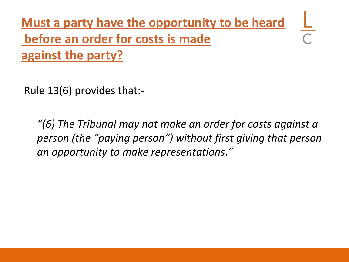**Must a party have the opportunity to be heard before an order for costs is made against the party?** 

Rule 13(6) provides that:-

*"(6) The Tribunal may not make an order for costs against a person (the "paying person") without first giving that person an opportunity to make representations."*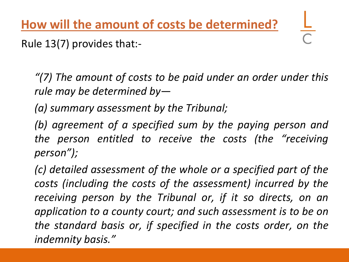**How will the amount of costs be determined?**

Rule 13(7) provides that:-

*"(7) The amount of costs to be paid under an order under this rule may be determined by—*

*(a) summary assessment by the Tribunal;*

*(b) agreement of a specified sum by the paying person and the person entitled to receive the costs (the "receiving person");*

*(c) detailed assessment of the whole or a specified part of the costs (including the costs of the assessment) incurred by the receiving person by the Tribunal or, if it so directs, on an application to a county court; and such assessment is to be on the standard basis or, if specified in the costs order, on the indemnity basis."*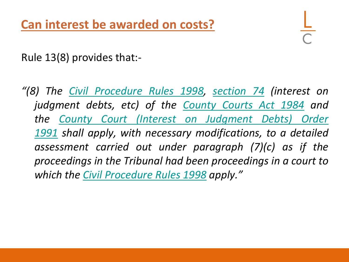Rule 13(8) provides that:-

*"(8) The [Civil](http://login.westlaw.co.uk/maf/wluk/app/document?src=doc&linktype=ref&context=67&crumb-action=replace&docguid=I71F54A60E42311DAA7CF8F68F6EE57AB) [Procedure](http://login.westlaw.co.uk/maf/wluk/app/document?src=doc&linktype=ref&context=67&crumb-action=replace&docguid=I71F54A60E42311DAA7CF8F68F6EE57AB) [Rules](http://login.westlaw.co.uk/maf/wluk/app/document?src=doc&linktype=ref&context=67&crumb-action=replace&docguid=I71F54A60E42311DAA7CF8F68F6EE57AB) [1998](http://login.westlaw.co.uk/maf/wluk/app/document?src=doc&linktype=ref&context=67&crumb-action=replace&docguid=I71F54A60E42311DAA7CF8F68F6EE57AB), [section](http://login.westlaw.co.uk/maf/wluk/app/document?src=doc&linktype=ref&context=67&crumb-action=replace&docguid=I64E19870E44A11DA8D70A0E70A78ED65) [74](http://login.westlaw.co.uk/maf/wluk/app/document?src=doc&linktype=ref&context=67&crumb-action=replace&docguid=I64E19870E44A11DA8D70A0E70A78ED65) (interest on judgment debts, etc) of the [County](http://login.westlaw.co.uk/maf/wluk/app/document?src=doc&linktype=ref&context=67&crumb-action=replace&docguid=I601C32E0E42311DAA7CF8F68F6EE57AB) [Courts](http://login.westlaw.co.uk/maf/wluk/app/document?src=doc&linktype=ref&context=67&crumb-action=replace&docguid=I601C32E0E42311DAA7CF8F68F6EE57AB) [Act](http://login.westlaw.co.uk/maf/wluk/app/document?src=doc&linktype=ref&context=67&crumb-action=replace&docguid=I601C32E0E42311DAA7CF8F68F6EE57AB) [1984](http://login.westlaw.co.uk/maf/wluk/app/document?src=doc&linktype=ref&context=67&crumb-action=replace&docguid=I601C32E0E42311DAA7CF8F68F6EE57AB) and the [County](http://login.westlaw.co.uk/maf/wluk/app/document?src=doc&linktype=ref&context=67&crumb-action=replace&docguid=I7BF51AE0E42311DAA7CF8F68F6EE57AB) [Court](http://login.westlaw.co.uk/maf/wluk/app/document?src=doc&linktype=ref&context=67&crumb-action=replace&docguid=I7BF51AE0E42311DAA7CF8F68F6EE57AB) [\(Interest](http://login.westlaw.co.uk/maf/wluk/app/document?src=doc&linktype=ref&context=67&crumb-action=replace&docguid=I7BF51AE0E42311DAA7CF8F68F6EE57AB) [on](http://login.westlaw.co.uk/maf/wluk/app/document?src=doc&linktype=ref&context=67&crumb-action=replace&docguid=I7BF51AE0E42311DAA7CF8F68F6EE57AB) [Judgment](http://login.westlaw.co.uk/maf/wluk/app/document?src=doc&linktype=ref&context=67&crumb-action=replace&docguid=I7BF51AE0E42311DAA7CF8F68F6EE57AB) [Debts\)](http://login.westlaw.co.uk/maf/wluk/app/document?src=doc&linktype=ref&context=67&crumb-action=replace&docguid=I7BF51AE0E42311DAA7CF8F68F6EE57AB) [Order](http://login.westlaw.co.uk/maf/wluk/app/document?src=doc&linktype=ref&context=67&crumb-action=replace&docguid=I7BF51AE0E42311DAA7CF8F68F6EE57AB) [1991](http://login.westlaw.co.uk/maf/wluk/app/document?src=doc&linktype=ref&context=67&crumb-action=replace&docguid=I7BF51AE0E42311DAA7CF8F68F6EE57AB) shall apply, with necessary modifications, to a detailed assessment carried out under paragraph (7)(c) as if the proceedings i[n](http://login.westlaw.co.uk/maf/wluk/app/document?src=doc&linktype=ref&context=67&crumb-action=replace&docguid=I71F54A60E42311DAA7CF8F68F6EE57AB) the Tribu[na](http://login.westlaw.co.uk/maf/wluk/app/document?src=doc&linktype=ref&context=67&crumb-action=replace&docguid=I71F54A60E42311DAA7CF8F68F6EE57AB)l had been proceedings in a court to which the [Civil](http://login.westlaw.co.uk/maf/wluk/app/document?src=doc&linktype=ref&context=67&crumb-action=replace&docguid=I71F54A60E42311DAA7CF8F68F6EE57AB) [Procedure](http://login.westlaw.co.uk/maf/wluk/app/document?src=doc&linktype=ref&context=67&crumb-action=replace&docguid=I71F54A60E42311DAA7CF8F68F6EE57AB) [Rules](http://login.westlaw.co.uk/maf/wluk/app/document?src=doc&linktype=ref&context=67&crumb-action=replace&docguid=I71F54A60E42311DAA7CF8F68F6EE57AB) [1998](http://login.westlaw.co.uk/maf/wluk/app/document?src=doc&linktype=ref&context=67&crumb-action=replace&docguid=I71F54A60E42311DAA7CF8F68F6EE57AB) apply."*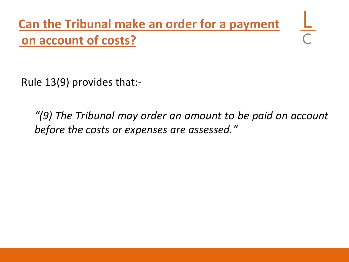**Can the Tribunal make an order for a payment on account of costs?**

Rule 13(9) provides that:-

*"(9) The Tribunal may order an amount to be paid on account before the costs or expenses are assessed."*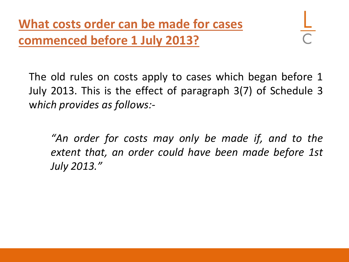The old rules on costs apply to cases which began before 1 July 2013. This is the effect of paragraph 3(7) of Schedule 3 w*hich provides as follows:-*

*"An order for costs may only be made if, and to the extent that, an order could have been made before 1st July 2013."*